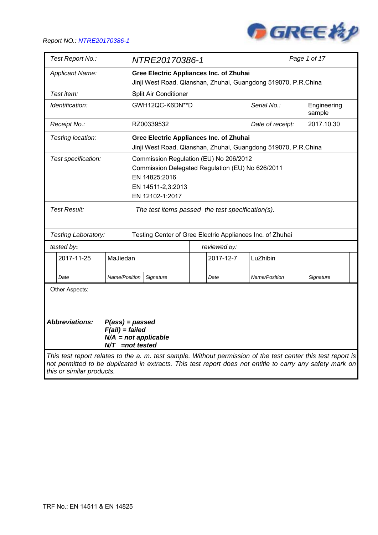

| Test Report No.:                                                                                                                                                                                                                                       | NTRE20170386-1                                                                                                   |                                |               | Page 1 of 17          |  |  |
|--------------------------------------------------------------------------------------------------------------------------------------------------------------------------------------------------------------------------------------------------------|------------------------------------------------------------------------------------------------------------------|--------------------------------|---------------|-----------------------|--|--|
| <b>Applicant Name:</b>                                                                                                                                                                                                                                 | <b>Gree Electric Appliances Inc. of Zhuhai</b><br>Jinji West Road, Qianshan, Zhuhai, Guangdong 519070, P.R.China |                                |               |                       |  |  |
| Test item:                                                                                                                                                                                                                                             | Split Air Conditioner                                                                                            |                                |               |                       |  |  |
| Identification:                                                                                                                                                                                                                                        | GWH12QC-K6DN**D                                                                                                  |                                | Serial No.:   | Engineering<br>sample |  |  |
| Receipt No.:                                                                                                                                                                                                                                           | RZ00339532                                                                                                       | 2017.10.30<br>Date of receipt: |               |                       |  |  |
| Testing location:                                                                                                                                                                                                                                      | <b>Gree Electric Appliances Inc. of Zhuhai</b><br>Jinji West Road, Qianshan, Zhuhai, Guangdong 519070, P.R.China |                                |               |                       |  |  |
| Commission Regulation (EU) No 206/2012<br>Test specification:<br>Commission Delegated Regulation (EU) No 626/2011<br>EN 14825:2016<br>EN 14511-2,3:2013<br>EN 12102-1:2017                                                                             |                                                                                                                  |                                |               |                       |  |  |
| <b>Test Result:</b><br>The test items passed the test specification(s).                                                                                                                                                                                |                                                                                                                  |                                |               |                       |  |  |
| Testing Laboratory:                                                                                                                                                                                                                                    | Testing Center of Gree Electric Appliances Inc. of Zhuhai                                                        |                                |               |                       |  |  |
| tested by:                                                                                                                                                                                                                                             |                                                                                                                  | reviewed by:                   |               |                       |  |  |
| 2017-11-25<br>MaJiedan                                                                                                                                                                                                                                 |                                                                                                                  | 2017-12-7                      | LuZhibin      |                       |  |  |
| Name/Position<br>Date                                                                                                                                                                                                                                  | Signature                                                                                                        | Date                           | Name/Position | Signature             |  |  |
| Other Aspects:<br><b>Abbreviations:</b>                                                                                                                                                                                                                | $P(ass) = passed$                                                                                                |                                |               |                       |  |  |
| $F(ai) = failed$                                                                                                                                                                                                                                       | $N/A$ = not applicable<br>$N/T$ =not tested                                                                      |                                |               |                       |  |  |
| This test report relates to the a. m. test sample. Without permission of the test center this test report is<br>not permitted to be duplicated in extracts. This test report does not entitle to carry any safety mark on<br>this or similar products. |                                                                                                                  |                                |               |                       |  |  |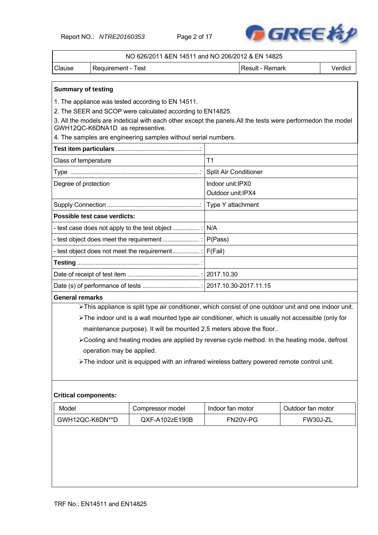Report NO.: *NTRE20160353* Page 2 of 17



|                                                                                                                                                  | NO 626/2011 &EN 14511 and NO 206/2012 & EN 14825                                                      |                   |                 |         |  |  |  |  |
|--------------------------------------------------------------------------------------------------------------------------------------------------|-------------------------------------------------------------------------------------------------------|-------------------|-----------------|---------|--|--|--|--|
| Clause                                                                                                                                           | Requirement - Test                                                                                    |                   | Result - Remark | Verdict |  |  |  |  |
|                                                                                                                                                  |                                                                                                       |                   |                 |         |  |  |  |  |
| <b>Summary of testing</b>                                                                                                                        |                                                                                                       |                   |                 |         |  |  |  |  |
|                                                                                                                                                  | 1. The appliance was tested according to EN 14511.                                                    |                   |                 |         |  |  |  |  |
|                                                                                                                                                  | 2. The SEER and SCOP were calculated according to EN14825.                                            |                   |                 |         |  |  |  |  |
| 3. All the models are indeticial with each other except the panels. All the tests were performedon the model<br>GWH12QC-K6DNA1D as representive. |                                                                                                       |                   |                 |         |  |  |  |  |
|                                                                                                                                                  | 4. The samples are engineering samples without serial numbers.                                        |                   |                 |         |  |  |  |  |
|                                                                                                                                                  |                                                                                                       |                   |                 |         |  |  |  |  |
| Class of temperature                                                                                                                             |                                                                                                       | T1                |                 |         |  |  |  |  |
|                                                                                                                                                  | Split Air Conditioner                                                                                 |                   |                 |         |  |  |  |  |
| Degree of protection                                                                                                                             |                                                                                                       | Indoor unit:IPX0  |                 |         |  |  |  |  |
|                                                                                                                                                  |                                                                                                       | Outdoor unit:IPX4 |                 |         |  |  |  |  |
|                                                                                                                                                  |                                                                                                       | Type Y attachment |                 |         |  |  |  |  |
|                                                                                                                                                  | Possible test case verdicts:                                                                          |                   |                 |         |  |  |  |  |
|                                                                                                                                                  | - test case does not apply to the test object                                                         |                   |                 |         |  |  |  |  |
|                                                                                                                                                  |                                                                                                       |                   |                 |         |  |  |  |  |
|                                                                                                                                                  | - test object does not meet the requirement :   F(Fail)                                               |                   |                 |         |  |  |  |  |
|                                                                                                                                                  |                                                                                                       |                   |                 |         |  |  |  |  |
|                                                                                                                                                  |                                                                                                       |                   |                 |         |  |  |  |  |
|                                                                                                                                                  |                                                                                                       |                   |                 |         |  |  |  |  |
| <b>General remarks</b>                                                                                                                           |                                                                                                       |                   |                 |         |  |  |  |  |
|                                                                                                                                                  | >This appliance is split type air conditioner, which consist of one outdoor unit and one indoor unit. |                   |                 |         |  |  |  |  |
|                                                                                                                                                  | > The indoor unit is a wall mounted type air conditioner, which is usually not accessible (only for   |                   |                 |         |  |  |  |  |

maintenance purpose). It will be mounted 2,5 meters above the floor..

Cooling and heating modes are applied by reverse cycle method. In the heating mode, defrost operation may be applied.

The indoor unit is equipped with an infrared wireless battery powered remote control unit.

#### **Critical components:**

| Model           | Compressor model   | Indoor fan motor | Outdoor fan motor |
|-----------------|--------------------|------------------|-------------------|
| GWH12QC-K6DN**D | $QXF - A102zE190B$ | FN20V-PG         | FW30J-ZL          |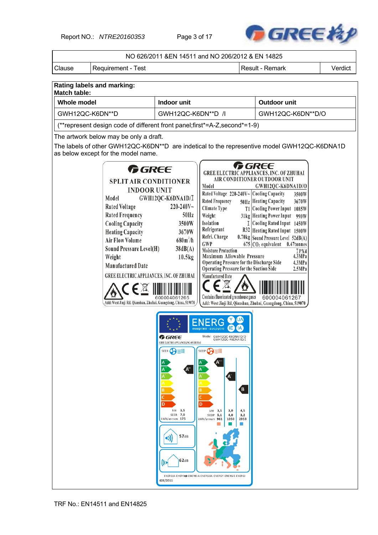Report NO.: *NTRE20160353* Page 3 of 17



|                     |                                                                                                                                                                                                                                                                                                                                                                                                     | NO 626/2011 & EN 14511 and NO 206/2012 & EN 14825                                                                                                         |                                                                                                                                                                                                                                                                                                                                                                             |                         |                                                                                                                                                                                                                                                                                                                                                                                                                                                                                                               |         |
|---------------------|-----------------------------------------------------------------------------------------------------------------------------------------------------------------------------------------------------------------------------------------------------------------------------------------------------------------------------------------------------------------------------------------------------|-----------------------------------------------------------------------------------------------------------------------------------------------------------|-----------------------------------------------------------------------------------------------------------------------------------------------------------------------------------------------------------------------------------------------------------------------------------------------------------------------------------------------------------------------------|-------------------------|---------------------------------------------------------------------------------------------------------------------------------------------------------------------------------------------------------------------------------------------------------------------------------------------------------------------------------------------------------------------------------------------------------------------------------------------------------------------------------------------------------------|---------|
| Clause              | Requirement - Test                                                                                                                                                                                                                                                                                                                                                                                  |                                                                                                                                                           |                                                                                                                                                                                                                                                                                                                                                                             |                         | Result - Remark                                                                                                                                                                                                                                                                                                                                                                                                                                                                                               | Verdict |
|                     | Rating labels and marking:                                                                                                                                                                                                                                                                                                                                                                          |                                                                                                                                                           |                                                                                                                                                                                                                                                                                                                                                                             |                         |                                                                                                                                                                                                                                                                                                                                                                                                                                                                                                               |         |
| <b>Match table:</b> |                                                                                                                                                                                                                                                                                                                                                                                                     |                                                                                                                                                           |                                                                                                                                                                                                                                                                                                                                                                             |                         |                                                                                                                                                                                                                                                                                                                                                                                                                                                                                                               |         |
| <b>Whole model</b>  |                                                                                                                                                                                                                                                                                                                                                                                                     | Indoor unit                                                                                                                                               |                                                                                                                                                                                                                                                                                                                                                                             |                         | Outdoor unit                                                                                                                                                                                                                                                                                                                                                                                                                                                                                                  |         |
| GWH12QC-K6DN**D     |                                                                                                                                                                                                                                                                                                                                                                                                     | GWH12QC-K6DN**D /I                                                                                                                                        |                                                                                                                                                                                                                                                                                                                                                                             |                         | GWH12QC-K6DN**D/O                                                                                                                                                                                                                                                                                                                                                                                                                                                                                             |         |
|                     | (**represent design code of different front panel; first*=A-Z, second*=1-9)                                                                                                                                                                                                                                                                                                                         |                                                                                                                                                           |                                                                                                                                                                                                                                                                                                                                                                             |                         |                                                                                                                                                                                                                                                                                                                                                                                                                                                                                                               |         |
|                     | The artwork below may be only a draft.                                                                                                                                                                                                                                                                                                                                                              |                                                                                                                                                           |                                                                                                                                                                                                                                                                                                                                                                             |                         |                                                                                                                                                                                                                                                                                                                                                                                                                                                                                                               |         |
|                     | as below except for the model name.                                                                                                                                                                                                                                                                                                                                                                 |                                                                                                                                                           |                                                                                                                                                                                                                                                                                                                                                                             |                         | The labels of other GWH12QC-K6DN**D are indetical to the representive model GWH12QC-K6DNA1D                                                                                                                                                                                                                                                                                                                                                                                                                   |         |
|                     | <b>G</b> REE<br><b>SPLIT AIR CONDITIONER</b><br><b>INDOOR UNIT</b><br>Model<br><b>Rated Voltage</b><br><b>Rated Frequency</b><br><b>Cooling Capacity</b><br><b>Heating Capacity</b><br><b>Air Flow Volume</b><br>Sound Pressure Level(H)<br>Weight<br><b>Manufactured Date</b><br><b>GREE ELECTRIC APPLIANCES, INC. OF ZHUHAI</b><br>Add: West Jinji Rd, Qianshan, Zhuhai, Guangdong, China, 519070 | GWH12QC-K6DNA1D/I<br>$220 - 240V$ ~<br>50Hz<br>3500W<br>3670W<br>$680m^3/h$<br>38dB(A)<br>10.5kg                                                          | Model<br>Rated Voltage 220-240V~ Cooling Capacity<br><b>Rated Frequency</b><br>Climate Type<br>Weight<br>Isolation<br>Refrigerant<br>Refri. Charge<br>GWP<br><b>Moisture Protection</b><br>Maximum Allowable Pressure<br>Operating Pressure for the Discharge Side<br>Operating Pressure for the Suction Side<br>Manufactured Date<br>Contains fluorinated greenhouse gases |                         | <b>GREE</b><br><b>GREE ELECTRIC APPLIANCES, INC. OF ZHUHAI</b><br>AIR CONDITIONER OUTDOOR UNIT<br>GWH12QC-K6DNA1D/O<br>3500W<br>50Hz Heating Capacity<br>3670W<br>T1 Cooling Power Input 1085W<br>31kg Heating Power Input 990W<br>I Cooling Rated Input 1450W<br>R32 Heating Rated Input 1500W<br>0.70kg Sound Pressure Level 52dB(A)<br>$675$ CO <sub>2</sub> equivalent 0.47tonnes<br>IPX4<br>4.3MPa<br>4.3MPa<br>2.5MPa<br>600004061267<br>Add: West Jinji Rd, Qianshan, Zhuhai, Guangdong, China, 519070 |         |
|                     |                                                                                                                                                                                                                                                                                                                                                                                                     | <b>G</b> REE<br><b>GREE ELECTRIC APPLIANCES, INC. OF ZHUHAI</b><br>SEER C<br>A.<br>kW 3,5<br>SEER 7,0<br>kWh/annum 175<br>57dB<br>(۱)<br>62dB<br>626/2011 | Model GWH12QC-K6DNA1D/O<br>GWH12QC-K6DNA1D/I<br>SCOP C <sub>2</sub><br>A.<br>D<br>kW 3,5<br>3,0<br>$SCOP$ 5,1<br>4,0<br>kWh/annum 961<br>1050<br>ENERGIA - EHEPTI A - ENEPTEIA - ENERGIJA - ENERGY - ENERGIE - ENERGI                                                                                                                                                       | B<br>4,5<br>3,2<br>2953 |                                                                                                                                                                                                                                                                                                                                                                                                                                                                                                               |         |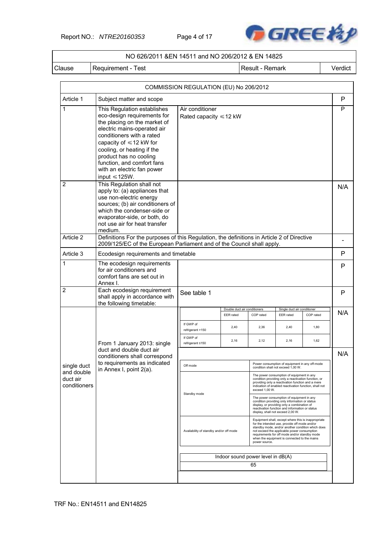Report NO.: *NTRE20160353* Page 4 of 17



#### NO 626/2011 &EN 14511 and NO 206/2012 & EN 14825

Clause | Requirement - Test | Next | Result - Remark | Verdict

|                                        |                                                                                                                                                                                                                                                                                                                                   | COMMISSION REGULATION (EU) No 206/2012                                                                                                                                                                                                                                                                                                                                |                                                                                            |                |                                                                                                                                                                                                                                    |           |              |  |  |  |
|----------------------------------------|-----------------------------------------------------------------------------------------------------------------------------------------------------------------------------------------------------------------------------------------------------------------------------------------------------------------------------------|-----------------------------------------------------------------------------------------------------------------------------------------------------------------------------------------------------------------------------------------------------------------------------------------------------------------------------------------------------------------------|--------------------------------------------------------------------------------------------|----------------|------------------------------------------------------------------------------------------------------------------------------------------------------------------------------------------------------------------------------------|-----------|--------------|--|--|--|
| Article 1                              | Subject matter and scope                                                                                                                                                                                                                                                                                                          |                                                                                                                                                                                                                                                                                                                                                                       |                                                                                            |                |                                                                                                                                                                                                                                    |           | $\mathsf{P}$ |  |  |  |
| 1                                      | This Regulation establishes<br>eco-design requirements for<br>the placing on the market of<br>electric mains-operated air<br>conditioners with a rated<br>capacity of $\leq 12$ kW for<br>cooling, or heating if the<br>product has no cooling<br>function, and comfort fans<br>with an electric fan power<br>input $\leq 125W$ . | Air conditioner                                                                                                                                                                                                                                                                                                                                                       | Rated capacity $\leq 12$ kW                                                                |                |                                                                                                                                                                                                                                    |           |              |  |  |  |
| 2<br>Article 2                         | This Regulation shall not<br>apply to: (a) appliances that<br>use non-electric energy<br>sources; (b) air conditioners of<br>which the condenser-side or<br>evaporator-side, or both, do<br>not use air for heat transfer<br>medium.                                                                                              |                                                                                                                                                                                                                                                                                                                                                                       | Definitions For the purposes of this Regulation, the definitions in Article 2 of Directive |                |                                                                                                                                                                                                                                    |           |              |  |  |  |
|                                        | 2009/125/EC of the European Parliament and of the Council shall apply.                                                                                                                                                                                                                                                            |                                                                                                                                                                                                                                                                                                                                                                       |                                                                                            |                |                                                                                                                                                                                                                                    |           |              |  |  |  |
| Article 3                              | Ecodesign requirements and timetable                                                                                                                                                                                                                                                                                              |                                                                                                                                                                                                                                                                                                                                                                       |                                                                                            |                |                                                                                                                                                                                                                                    |           | P            |  |  |  |
| $\mathbf{1}$                           | The ecodesign requirements<br>for air conditioners and<br>comfort fans are set out in<br>Annex I.                                                                                                                                                                                                                                 |                                                                                                                                                                                                                                                                                                                                                                       |                                                                                            |                |                                                                                                                                                                                                                                    |           |              |  |  |  |
| $\overline{2}$                         | Each ecodesign requirement<br>shall apply in accordance with<br>the following timetable:                                                                                                                                                                                                                                          | See table 1                                                                                                                                                                                                                                                                                                                                                           |                                                                                            |                |                                                                                                                                                                                                                                    |           |              |  |  |  |
|                                        |                                                                                                                                                                                                                                                                                                                                   |                                                                                                                                                                                                                                                                                                                                                                       | Double duct air conditioners<br>EER rated                                                  | COP rated      | Single duct air conditioner<br><b>EER</b> rated                                                                                                                                                                                    | COP rated | N/A          |  |  |  |
|                                        |                                                                                                                                                                                                                                                                                                                                   | If GWP of<br>refrigerant >150                                                                                                                                                                                                                                                                                                                                         | 2,40                                                                                       | 2,36           | 2,40                                                                                                                                                                                                                               | 1,80      |              |  |  |  |
|                                        | From 1 January 2013: single                                                                                                                                                                                                                                                                                                       | If GWP of<br>refrigerant ≤150                                                                                                                                                                                                                                                                                                                                         | 2,16                                                                                       | 2,12           | 2,16                                                                                                                                                                                                                               | 1,62      |              |  |  |  |
|                                        | duct and double duct air<br>conditioners shall correspond                                                                                                                                                                                                                                                                         |                                                                                                                                                                                                                                                                                                                                                                       |                                                                                            |                |                                                                                                                                                                                                                                    |           | N/A          |  |  |  |
| single duct                            | to requirements as indicated<br>in Annex I, point 2(a).                                                                                                                                                                                                                                                                           | Off mode                                                                                                                                                                                                                                                                                                                                                              |                                                                                            |                | Power consumption of equipment in any off-mode<br>condition shall not exceed 1,00 W.                                                                                                                                               |           |              |  |  |  |
| and double<br>duct air<br>conditioners |                                                                                                                                                                                                                                                                                                                                   |                                                                                                                                                                                                                                                                                                                                                                       |                                                                                            | exceed 1,00 W. | The power consumption of equipment in any<br>condition providing only a reactivation function, or<br>providing only a reactivation function and a mere<br>indication of enabled reactivation function, shall not                   |           |              |  |  |  |
|                                        |                                                                                                                                                                                                                                                                                                                                   | Standby mode                                                                                                                                                                                                                                                                                                                                                          |                                                                                            |                | The power consumption of equipment in any<br>condition providing only information or status<br>display, or providing only a combination of<br>reactivation function and information or status<br>display, shall not exceed 2,00 W. |           |              |  |  |  |
|                                        |                                                                                                                                                                                                                                                                                                                                   | Equipment shall, except where this is inappropriate<br>for the intended use, provide off mode and/or<br>standby mode, and/or another condition which does<br>Availability of standby and/or off mode<br>not exceed the applicable power consumption<br>requirements for off mode and/or standby mode<br>when the equipment is connected to the mains<br>power source. |                                                                                            |                |                                                                                                                                                                                                                                    |           |              |  |  |  |
|                                        |                                                                                                                                                                                                                                                                                                                                   |                                                                                                                                                                                                                                                                                                                                                                       | Indoor sound power level in dB(A)                                                          |                |                                                                                                                                                                                                                                    |           |              |  |  |  |
|                                        |                                                                                                                                                                                                                                                                                                                                   |                                                                                                                                                                                                                                                                                                                                                                       |                                                                                            | 65             |                                                                                                                                                                                                                                    |           |              |  |  |  |
|                                        |                                                                                                                                                                                                                                                                                                                                   |                                                                                                                                                                                                                                                                                                                                                                       |                                                                                            |                |                                                                                                                                                                                                                                    |           |              |  |  |  |
|                                        |                                                                                                                                                                                                                                                                                                                                   |                                                                                                                                                                                                                                                                                                                                                                       |                                                                                            |                |                                                                                                                                                                                                                                    |           |              |  |  |  |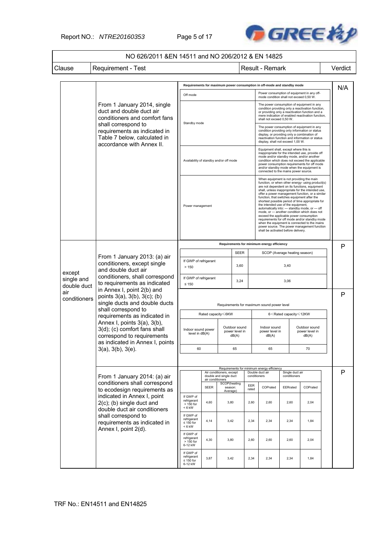Report NO.: *NTRE20160353* Page 5 of 17



# NO 626/2011 &EN 14511 and NO 206/2012 & EN 14825 Clause | Requirement - Test | Next | Result - Remark | Verdict

|                                     |                                                                                                                                                                          |                                                        |                                            |                                                    |                                          |              | Requirements for maximum power consumption in off-mode and standby mode                                                                                                                                                                                                                                                                                                                                                                                                                                                                                                                                                                                                                                                         |                                 |                                                 |  |     |
|-------------------------------------|--------------------------------------------------------------------------------------------------------------------------------------------------------------------------|--------------------------------------------------------|--------------------------------------------|----------------------------------------------------|------------------------------------------|--------------|---------------------------------------------------------------------------------------------------------------------------------------------------------------------------------------------------------------------------------------------------------------------------------------------------------------------------------------------------------------------------------------------------------------------------------------------------------------------------------------------------------------------------------------------------------------------------------------------------------------------------------------------------------------------------------------------------------------------------------|---------------------------------|-------------------------------------------------|--|-----|
|                                     |                                                                                                                                                                          | Off mode                                               |                                            |                                                    |                                          |              | Power consumption of equipment in any off-<br>mode condition shall not exceed 0,50 W.                                                                                                                                                                                                                                                                                                                                                                                                                                                                                                                                                                                                                                           |                                 |                                                 |  | N/A |
|                                     | From 1 January 2014, single<br>duct and double duct air<br>conditioners and comfort fans<br>shall correspond to<br>requirements as indicated in                          | Standby mode                                           |                                            |                                                    |                                          |              | The power consumption of equipment in any<br>condition providing only a reactivation function,<br>or providing only a reactivation function and a<br>mere indication of enabled reactivation function.<br>shall not exceed 0.50 W.<br>The power consumption of equipment in any<br>condition providing only information or status<br>display, or providing only a combination of                                                                                                                                                                                                                                                                                                                                                |                                 |                                                 |  |     |
|                                     | Table 7 below, calculated in<br>accordance with Annex II.                                                                                                                |                                                        |                                            |                                                    |                                          |              | display, shall not exceed 1,00 W.                                                                                                                                                                                                                                                                                                                                                                                                                                                                                                                                                                                                                                                                                               |                                 | reactivation function and information or status |  |     |
|                                     |                                                                                                                                                                          | Availability of standby and/or off mode                |                                            |                                                    |                                          |              | Equipment shall, except where this is<br>inappropriate for the intended use, provide off<br>mode and/or standby mode, and/or another<br>condition which does not exceed the applicable<br>power consumption requirements for off mode<br>and/or standby mode when the equipment is<br>connected to the mains power source.                                                                                                                                                                                                                                                                                                                                                                                                      |                                 |                                                 |  |     |
|                                     |                                                                                                                                                                          | Power management                                       |                                            |                                                    |                                          |              | When equipment is not providing the main<br>function, or when other energy- using product(s)<br>are not dependent on its functions, equipment<br>shall, unless inappropriate for the intended use,<br>offer a power management function, or a similar<br>function, that switches equipment after the<br>shortest possible period of time appropriate for<br>the intended use of the equipment.<br>automatically into: - standby mode, or - off<br>mode, or - another condition which does not<br>exceed the applicable power consumption<br>requirements for off mode and/or standby mode<br>when the equipment is connected to the mains<br>power source. The power management function<br>shall be activated before delivery. |                                 |                                                 |  |     |
|                                     |                                                                                                                                                                          | Requirements for minimum energy efficiency             |                                            |                                                    |                                          |              |                                                                                                                                                                                                                                                                                                                                                                                                                                                                                                                                                                                                                                                                                                                                 |                                 |                                                 |  | P   |
|                                     | From 1 January 2013: (a) air                                                                                                                                             | <b>SEER</b><br>If GWP of refrigerant                   |                                            |                                                    |                                          |              | SCOP (Average heating season)                                                                                                                                                                                                                                                                                                                                                                                                                                                                                                                                                                                                                                                                                                   |                                 |                                                 |  |     |
| except<br>single and<br>double duct | conditioners, except single<br>and double duct air                                                                                                                       | 3,60<br>>150                                           |                                            |                                                    |                                          |              | 3,40                                                                                                                                                                                                                                                                                                                                                                                                                                                                                                                                                                                                                                                                                                                            |                                 |                                                 |  |     |
|                                     | conditioners, shall correspond<br>to requirements as indicated<br>in Annex I, point 2(b) and<br>points $3(a)$ , $3(b)$ , $3(c)$ ; $(b)$<br>single ducts and double ducts | If GWP of refrigerant<br>3,24<br>$\leq 150$            |                                            |                                                    |                                          |              | 3,06                                                                                                                                                                                                                                                                                                                                                                                                                                                                                                                                                                                                                                                                                                                            |                                 |                                                 |  |     |
| air<br>conditioners                 |                                                                                                                                                                          |                                                        | Requirements for maximum sound power level |                                                    |                                          |              |                                                                                                                                                                                                                                                                                                                                                                                                                                                                                                                                                                                                                                                                                                                                 |                                 |                                                 |  | P   |
|                                     | shall correspond to<br>requirements as indicated in                                                                                                                      | Rated capacity≤6KW                                     |                                            |                                                    |                                          |              | 6 <rated capacity≤12kw<="" td=""><td></td><td></td></rated>                                                                                                                                                                                                                                                                                                                                                                                                                                                                                                                                                                                                                                                                     |                                 |                                                 |  |     |
|                                     | Annex I, points 3(a), 3(b),<br>3(d); (c) comfort fans shall<br>correspond to requirements<br>as indicated in Annex I, points                                             | Indoor sound power<br>level in dB(A)                   |                                            |                                                    | Outdoor sound<br>power level in<br>dB(A) |              | Indoor sound<br>power level in<br>dB(A)                                                                                                                                                                                                                                                                                                                                                                                                                                                                                                                                                                                                                                                                                         |                                 | Outdoor sound<br>power level in<br>dB(A)        |  |     |
|                                     | 3(a), 3(b), 3(e).                                                                                                                                                        | 60                                                     |                                            |                                                    | 65                                       |              | 65                                                                                                                                                                                                                                                                                                                                                                                                                                                                                                                                                                                                                                                                                                                              |                                 | 70                                              |  |     |
|                                     |                                                                                                                                                                          |                                                        |                                            |                                                    |                                          |              | Requirements for minimum energy efficiency                                                                                                                                                                                                                                                                                                                                                                                                                                                                                                                                                                                                                                                                                      |                                 |                                                 |  |     |
|                                     | From 1 January 2014: (a) air                                                                                                                                             |                                                        | air conditioners                           | Air conditioners, except<br>double and single duct |                                          | conditioners | Double duct air                                                                                                                                                                                                                                                                                                                                                                                                                                                                                                                                                                                                                                                                                                                 | Single duct air<br>conditioners |                                                 |  | Р   |
|                                     | conditioners shall correspond<br>to ecodesign requirements as                                                                                                            |                                                        | <b>SEER</b>                                | SCOP(heating<br>season:<br>Average)                |                                          | EER<br>rated | COPrated                                                                                                                                                                                                                                                                                                                                                                                                                                                                                                                                                                                                                                                                                                                        | EERrated                        | COPrated                                        |  |     |
|                                     | indicated in Annex I, point<br>$2(c)$ ; (b) single duct and<br>double duct air conditioners                                                                              | If GWP of<br>refrigerant<br>> 150 for<br>$< 6$ kW      | 4,60                                       | 3,80                                               |                                          | 2,60         | 2,60                                                                                                                                                                                                                                                                                                                                                                                                                                                                                                                                                                                                                                                                                                                            | 2,60                            | 2,04                                            |  |     |
|                                     | shall correspond to<br>requirements as indicated in<br>Annex I, point 2(d).                                                                                              | If GWP of<br>refrigerant<br>$\leq 150$ for<br>$< 6$ kW | 4,14                                       | 3,42                                               |                                          | 2,34         | 2,34                                                                                                                                                                                                                                                                                                                                                                                                                                                                                                                                                                                                                                                                                                                            | 2,34                            | 1,84                                            |  |     |
|                                     |                                                                                                                                                                          | If GWP of<br>refrigerant<br>$> 150$ for<br>6-12 kW     | 4,30                                       | 3,80                                               |                                          | 2,60         | 2,60                                                                                                                                                                                                                                                                                                                                                                                                                                                                                                                                                                                                                                                                                                                            | 2,60                            | 2,04                                            |  |     |
|                                     |                                                                                                                                                                          | If GWP of<br>refrigerant<br>$\leq 150$ for<br>6-12 kW  | 3,87                                       | 3,42                                               |                                          | 2,34         | 2,34                                                                                                                                                                                                                                                                                                                                                                                                                                                                                                                                                                                                                                                                                                                            | 2,34                            | 1,84                                            |  |     |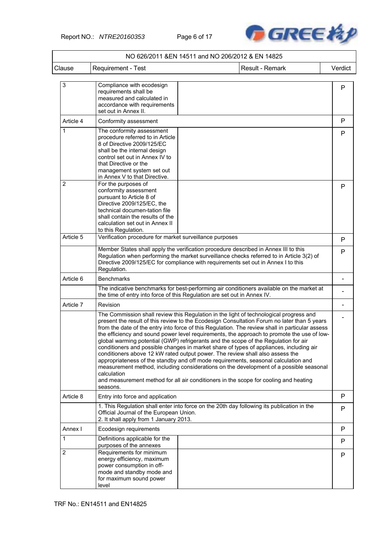

|                |                                                                                                                                                                                                                                                                                                                                                                                                                                                                                                                                                                    | NO 626/2011 &EN 14511 and NO 206/2012 & EN 14825 |                                                                                                                                                                                                                                                                                                                                                                                        |         |
|----------------|--------------------------------------------------------------------------------------------------------------------------------------------------------------------------------------------------------------------------------------------------------------------------------------------------------------------------------------------------------------------------------------------------------------------------------------------------------------------------------------------------------------------------------------------------------------------|--------------------------------------------------|----------------------------------------------------------------------------------------------------------------------------------------------------------------------------------------------------------------------------------------------------------------------------------------------------------------------------------------------------------------------------------------|---------|
| Clause         | Requirement - Test                                                                                                                                                                                                                                                                                                                                                                                                                                                                                                                                                 |                                                  | Result - Remark                                                                                                                                                                                                                                                                                                                                                                        | Verdict |
| 3              | Compliance with ecodesign<br>requirements shall be<br>measured and calculated in<br>accordance with requirements<br>set out in Annex II.                                                                                                                                                                                                                                                                                                                                                                                                                           |                                                  |                                                                                                                                                                                                                                                                                                                                                                                        | P       |
| Article 4      | Conformity assessment                                                                                                                                                                                                                                                                                                                                                                                                                                                                                                                                              |                                                  |                                                                                                                                                                                                                                                                                                                                                                                        | P       |
| 1              | The conformity assessment<br>procedure referred to in Article<br>8 of Directive 2009/125/EC<br>shall be the internal design<br>control set out in Annex IV to<br>that Directive or the<br>management system set out<br>in Annex V to that Directive.                                                                                                                                                                                                                                                                                                               |                                                  |                                                                                                                                                                                                                                                                                                                                                                                        | P       |
| $\overline{2}$ | For the purposes of<br>conformity assessment<br>pursuant to Article 8 of<br>Directive 2009/125/EC, the<br>technical documen-tation file<br>shall contain the results of the<br>calculation set out in Annex II<br>to this Regulation.                                                                                                                                                                                                                                                                                                                              |                                                  |                                                                                                                                                                                                                                                                                                                                                                                        | P       |
| Article 5      | Verification procedure for market surveillance purposes                                                                                                                                                                                                                                                                                                                                                                                                                                                                                                            |                                                  |                                                                                                                                                                                                                                                                                                                                                                                        | P       |
|                | Member States shall apply the verification procedure described in Annex III to this<br>Regulation when performing the market surveillance checks referred to in Article 3(2) of<br>Directive 2009/125/EC for compliance with requirements set out in Annex I to this<br>Regulation.                                                                                                                                                                                                                                                                                |                                                  |                                                                                                                                                                                                                                                                                                                                                                                        | P       |
| Article 6      | <b>Benchmarks</b>                                                                                                                                                                                                                                                                                                                                                                                                                                                                                                                                                  |                                                  |                                                                                                                                                                                                                                                                                                                                                                                        |         |
|                | the time of entry into force of this Regulation are set out in Annex IV.                                                                                                                                                                                                                                                                                                                                                                                                                                                                                           |                                                  | The indicative benchmarks for best-performing air conditioners available on the market at                                                                                                                                                                                                                                                                                              |         |
| Article 7      | Revision                                                                                                                                                                                                                                                                                                                                                                                                                                                                                                                                                           |                                                  |                                                                                                                                                                                                                                                                                                                                                                                        |         |
|                | The Commission shall review this Regulation in the light of technological progress and<br>global warming potential (GWP) refrigerants and the scope of the Regulation for air<br>conditioners and possible changes in market share of types of appliances, including air<br>conditioners above 12 kW rated output power. The review shall also assess the<br>appropriateness of the standby and off mode requirements, seasonal calculation and<br>calculation<br>and measurement method for all air conditioners in the scope for cooling and heating<br>seasons. |                                                  | present the result of this review to the Ecodesign Consultation Forum no later than 5 years<br>from the date of the entry into force of this Regulation. The review shall in particular assess<br>the efficiency and sound power level requirements, the approach to promote the use of low-<br>measurement method, including considerations on the development of a possible seasonal |         |
| Article 8      | Entry into force and application                                                                                                                                                                                                                                                                                                                                                                                                                                                                                                                                   |                                                  |                                                                                                                                                                                                                                                                                                                                                                                        | P       |
|                | 1. This Regulation shall enter into force on the 20th day following its publication in the<br>Official Journal of the European Union.<br>2. It shall apply from 1 January 2013.                                                                                                                                                                                                                                                                                                                                                                                    |                                                  |                                                                                                                                                                                                                                                                                                                                                                                        | P       |
| Annex I        | Ecodesign requirements                                                                                                                                                                                                                                                                                                                                                                                                                                                                                                                                             |                                                  |                                                                                                                                                                                                                                                                                                                                                                                        | P       |
| 1              | Definitions applicable for the<br>purposes of the annexes                                                                                                                                                                                                                                                                                                                                                                                                                                                                                                          |                                                  |                                                                                                                                                                                                                                                                                                                                                                                        | P       |
| $\overline{2}$ | Requirements for minimum<br>energy efficiency, maximum<br>power consumption in off-<br>mode and standby mode and<br>for maximum sound power<br>level                                                                                                                                                                                                                                                                                                                                                                                                               |                                                  |                                                                                                                                                                                                                                                                                                                                                                                        | P       |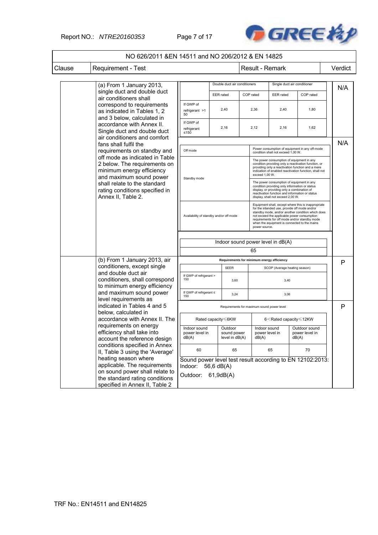### Report NO.: *NTRE20160353* Page 7 of 17



|                                                                                                                                                            | NO 626/2011 & EN 14511 and NO 206/2012 & EN 14825                                                                                                                                                              |                                                                                                             |                  |                                                                                      |  |                                                                                                                                                                                                                                                                                                                            |                               |                                                                                                                                                                                                                  |   |         |
|------------------------------------------------------------------------------------------------------------------------------------------------------------|----------------------------------------------------------------------------------------------------------------------------------------------------------------------------------------------------------------|-------------------------------------------------------------------------------------------------------------|------------------|--------------------------------------------------------------------------------------|--|----------------------------------------------------------------------------------------------------------------------------------------------------------------------------------------------------------------------------------------------------------------------------------------------------------------------------|-------------------------------|------------------------------------------------------------------------------------------------------------------------------------------------------------------------------------------------------------------|---|---------|
| Clause                                                                                                                                                     | <b>Requirement - Test</b>                                                                                                                                                                                      |                                                                                                             |                  |                                                                                      |  |                                                                                                                                                                                                                                                                                                                            | Result - Remark               |                                                                                                                                                                                                                  |   | Verdict |
|                                                                                                                                                            | (a) From 1 January 2013,                                                                                                                                                                                       |                                                                                                             |                  | Double duct air conditioners                                                         |  |                                                                                                                                                                                                                                                                                                                            |                               | Single duct air conditioner                                                                                                                                                                                      |   | N/A     |
|                                                                                                                                                            | single duct and double duct<br>air conditioners shall                                                                                                                                                          |                                                                                                             | <b>EER</b> rated |                                                                                      |  | COP rated                                                                                                                                                                                                                                                                                                                  | <b>EER</b> rated              | COP rated                                                                                                                                                                                                        |   |         |
|                                                                                                                                                            | correspond to requirements<br>as indicated in Tables 1, 2<br>and 3 below, calculated in                                                                                                                        | If GWP of<br>refrigerant >1<br>50                                                                           |                  | 2,40                                                                                 |  | 2,36                                                                                                                                                                                                                                                                                                                       | 2,40                          | 1,80                                                                                                                                                                                                             |   |         |
|                                                                                                                                                            | accordance with Annex II.<br>Single duct and double duct                                                                                                                                                       | If GWP of<br>refrigerant<br>$≤150$                                                                          |                  | 2,16                                                                                 |  | 2,12                                                                                                                                                                                                                                                                                                                       | 2,16                          | 1,62                                                                                                                                                                                                             |   |         |
|                                                                                                                                                            | air conditioners and comfort<br>fans shall fulfil the<br>requirements on standby and                                                                                                                           | Off mode                                                                                                    |                  | Power consumption of equipment in any off-mode<br>condition shall not exceed 1,00 W. |  |                                                                                                                                                                                                                                                                                                                            |                               |                                                                                                                                                                                                                  |   | N/A     |
|                                                                                                                                                            | off mode as indicated in Table<br>2 below. The requirements on<br>minimum energy efficiency<br>and maximum sound power<br>shall relate to the standard<br>rating conditions specified in<br>Annex II, Table 2. |                                                                                                             |                  |                                                                                      |  | exceed 1,00 W.                                                                                                                                                                                                                                                                                                             |                               | The power consumption of equipment in any<br>condition providing only a reactivation function, or<br>providing only a reactivation function and a mere<br>indication of enabled reactivation function, shall not |   |         |
|                                                                                                                                                            |                                                                                                                                                                                                                | Standby mode                                                                                                |                  |                                                                                      |  | The power consumption of equipment in any<br>condition providing only information or status<br>display, or providing only a combination of<br>reactivation function and information or status<br>display, shall not exceed 2,00 W.                                                                                         |                               |                                                                                                                                                                                                                  |   |         |
|                                                                                                                                                            |                                                                                                                                                                                                                | Availability of standby and/or off mode                                                                     |                  |                                                                                      |  | Equipment shall, except where this is inappropriate<br>for the intended use, provide off mode and/or<br>standby mode, and/or another condition which does<br>not exceed the applicable power consumption<br>requirements for off mode and/or standby mode<br>when the equipment is connected to the mains<br>power source. |                               |                                                                                                                                                                                                                  |   |         |
|                                                                                                                                                            |                                                                                                                                                                                                                | Indoor sound power level in dB(A)<br>65                                                                     |                  |                                                                                      |  |                                                                                                                                                                                                                                                                                                                            |                               |                                                                                                                                                                                                                  |   |         |
|                                                                                                                                                            | (b) From 1 January 2013, air                                                                                                                                                                                   | Requirements for minimum energy efficiency                                                                  |                  |                                                                                      |  |                                                                                                                                                                                                                                                                                                                            |                               |                                                                                                                                                                                                                  | P |         |
|                                                                                                                                                            | conditioners, except single                                                                                                                                                                                    |                                                                                                             |                  | <b>SEER</b>                                                                          |  |                                                                                                                                                                                                                                                                                                                            | SCOP (Average heating season) |                                                                                                                                                                                                                  |   |         |
|                                                                                                                                                            | and double duct air<br>conditioners, shall correspond<br>to minimum energy efficiency                                                                                                                          | If GWP of refrigerant ><br>150                                                                              |                  | 3,60                                                                                 |  |                                                                                                                                                                                                                                                                                                                            | 3,40                          |                                                                                                                                                                                                                  |   |         |
|                                                                                                                                                            | and maximum sound power<br>level requirements as                                                                                                                                                               | If GWP of refrigerant ≤<br>150                                                                              |                  | 3,24                                                                                 |  |                                                                                                                                                                                                                                                                                                                            | 3,06                          |                                                                                                                                                                                                                  |   |         |
|                                                                                                                                                            | indicated in Tables 4 and 5                                                                                                                                                                                    |                                                                                                             |                  | Requirements for maximum sound power level                                           |  |                                                                                                                                                                                                                                                                                                                            |                               |                                                                                                                                                                                                                  |   | Р       |
|                                                                                                                                                            | below, calculated in<br>accordance with Annex II. The                                                                                                                                                          |                                                                                                             |                  | Rated capacity ≤6KW                                                                  |  |                                                                                                                                                                                                                                                                                                                            |                               | 6 <rated 12kw<="" capacity="" td="" ≤=""><td></td><td></td></rated>                                                                                                                                              |   |         |
|                                                                                                                                                            | requirements on energy<br>efficiency shall take into<br>account the reference design                                                                                                                           | Indoor sound<br>power level in<br>dB(A)                                                                     |                  | Outdoor<br>sound power<br>level in $dB(A)$                                           |  | Indoor sound<br>power level in<br>dB(A)                                                                                                                                                                                                                                                                                    |                               | Outdoor sound<br>power level in<br>dB(A)                                                                                                                                                                         |   |         |
|                                                                                                                                                            | conditions specified in Annex<br>II, Table 3 using the 'Average'                                                                                                                                               |                                                                                                             |                  | 65                                                                                   |  |                                                                                                                                                                                                                                                                                                                            | 65                            | 70                                                                                                                                                                                                               |   |         |
| heating season where<br>applicable. The requirements<br>on sound power shall relate to<br>the standard rating conditions<br>specified in Annex II, Table 2 |                                                                                                                                                                                                                | Sound power level test result according to EN 12102:2013:<br>Indoor:<br>56,6 dB(A)<br>Outdoor:<br>61,9dB(A) |                  |                                                                                      |  |                                                                                                                                                                                                                                                                                                                            |                               |                                                                                                                                                                                                                  |   |         |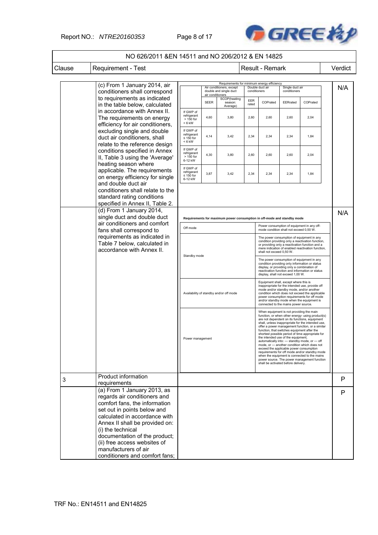### Report NO.: *NTRE20160353* Page 8 of 17



|        | NO 626/2011 &EN 14511 and NO 206/2012 & EN 14825                                                                                                                                                                                                                                                                                               |                                                                         |                  |                                                                                                  |              |                                                                                                                                                                                                                                                                                                                                                                                                                                                                                                                                                                                                                                                                                                                                 |                                 |          |         |
|--------|------------------------------------------------------------------------------------------------------------------------------------------------------------------------------------------------------------------------------------------------------------------------------------------------------------------------------------------------|-------------------------------------------------------------------------|------------------|--------------------------------------------------------------------------------------------------|--------------|---------------------------------------------------------------------------------------------------------------------------------------------------------------------------------------------------------------------------------------------------------------------------------------------------------------------------------------------------------------------------------------------------------------------------------------------------------------------------------------------------------------------------------------------------------------------------------------------------------------------------------------------------------------------------------------------------------------------------------|---------------------------------|----------|---------|
| Clause | Requirement - Test                                                                                                                                                                                                                                                                                                                             |                                                                         |                  |                                                                                                  |              | Result - Remark                                                                                                                                                                                                                                                                                                                                                                                                                                                                                                                                                                                                                                                                                                                 |                                 |          | Verdict |
|        |                                                                                                                                                                                                                                                                                                                                                |                                                                         |                  |                                                                                                  |              |                                                                                                                                                                                                                                                                                                                                                                                                                                                                                                                                                                                                                                                                                                                                 |                                 |          |         |
|        | (c) From 1 January 2014, air<br>conditioners shall correspond                                                                                                                                                                                                                                                                                  |                                                                         | air conditioners | Requirements for minimum energy efficiency<br>Air conditioners, except<br>double and single duct | conditioners | Double duct air                                                                                                                                                                                                                                                                                                                                                                                                                                                                                                                                                                                                                                                                                                                 | Single duct air<br>conditioners |          | N/A     |
|        | to requirements as indicated<br>in the table below, calculated                                                                                                                                                                                                                                                                                 |                                                                         | <b>SEER</b>      | SCOP(heating<br>season:<br>Average)                                                              | EER<br>rated | COPrated                                                                                                                                                                                                                                                                                                                                                                                                                                                                                                                                                                                                                                                                                                                        | EERrated                        | COPrated |         |
|        | in accordance with Annex II.<br>The requirements on energy<br>efficiency for air conditioners,                                                                                                                                                                                                                                                 | If GWP of<br>refrigerant<br>$> 150$ for<br>$< 6$ kW                     | 4,60             | 3,80                                                                                             | 2,60         | 2,60                                                                                                                                                                                                                                                                                                                                                                                                                                                                                                                                                                                                                                                                                                                            | 2,60                            | 2,04     |         |
|        | excluding single and double<br>duct air conditioners, shall<br>relate to the reference design                                                                                                                                                                                                                                                  | If GWP of<br>refrigerant<br>$\leq 150$ for<br>$< 6$ kW                  | 4,14             | 3,42                                                                                             | 2,34         | 2,34                                                                                                                                                                                                                                                                                                                                                                                                                                                                                                                                                                                                                                                                                                                            | 2,34                            | 1,84     |         |
|        | conditions specified in Annex<br>II, Table 3 using the 'Average'<br>heating season where                                                                                                                                                                                                                                                       | If GWP of<br>refrigerant<br>> 150 for<br>6-12 kW                        | 4,30             | 3,80                                                                                             | 2,60         | 2,60                                                                                                                                                                                                                                                                                                                                                                                                                                                                                                                                                                                                                                                                                                                            | 2,60                            | 2,04     |         |
|        | applicable. The requirements<br>on energy efficiency for single<br>and double duct air                                                                                                                                                                                                                                                         | If GWP of<br>refrigerant<br>$\leq 150$ for<br>6-12 kW                   | 3,87             | 3,42                                                                                             | 2,34         | 2,34                                                                                                                                                                                                                                                                                                                                                                                                                                                                                                                                                                                                                                                                                                                            | 2,34                            | 1,84     |         |
|        | conditioners shall relate to the<br>standard rating conditions<br>specified in Annex II, Table 2.                                                                                                                                                                                                                                              |                                                                         |                  |                                                                                                  |              |                                                                                                                                                                                                                                                                                                                                                                                                                                                                                                                                                                                                                                                                                                                                 |                                 |          |         |
|        | (d) From 1 January 2014,<br>single duct and double duct<br>air conditioners and comfort                                                                                                                                                                                                                                                        | Requirements for maximum power consumption in off-mode and standby mode |                  |                                                                                                  |              |                                                                                                                                                                                                                                                                                                                                                                                                                                                                                                                                                                                                                                                                                                                                 |                                 | N/A      |         |
|        | fans shall correspond to                                                                                                                                                                                                                                                                                                                       | Off mode                                                                |                  |                                                                                                  |              | Power consumption of equipment in any off-<br>mode condition shall not exceed 0,50 W.                                                                                                                                                                                                                                                                                                                                                                                                                                                                                                                                                                                                                                           |                                 |          |         |
|        | requirements as indicated in<br>Table 7 below, calculated in<br>accordance with Annex II.                                                                                                                                                                                                                                                      | Standby mode                                                            |                  |                                                                                                  |              | The power consumption of equipment in any<br>condition providing only a reactivation function,<br>or providing only a reactivation function and a<br>mere indication of enabled reactivation function,<br>shall not exceed 0,50 W.                                                                                                                                                                                                                                                                                                                                                                                                                                                                                              |                                 |          |         |
|        |                                                                                                                                                                                                                                                                                                                                                |                                                                         |                  |                                                                                                  |              | The power consumption of equipment in any<br>condition providing only information or status<br>display, or providing only a combination of<br>reactivation function and information or status<br>display, shall not exceed 1,00 W.                                                                                                                                                                                                                                                                                                                                                                                                                                                                                              |                                 |          |         |
|        |                                                                                                                                                                                                                                                                                                                                                | Availability of standby and/or off mode                                 |                  |                                                                                                  |              | Equipment shall, except where this is<br>inappropriate for the intended use, provide off<br>mode and/or standby mode, and/or another<br>condition which does not exceed the applicable<br>power consumption requirements for off mode<br>and/or standby mode when the equipment is<br>connected to the mains power source.                                                                                                                                                                                                                                                                                                                                                                                                      |                                 |          |         |
|        |                                                                                                                                                                                                                                                                                                                                                | Power management                                                        |                  |                                                                                                  |              | When equipment is not providing the main<br>function, or when other energy- using product(s)<br>are not dependent on its functions, equipment<br>shall, unless inappropriate for the intended use,<br>offer a power management function, or a similar<br>function, that switches equipment after the<br>shortest possible period of time appropriate for<br>the intended use of the equipment,<br>automatically into: - standby mode, or - off<br>mode, or - another condition which does not<br>exceed the applicable power consumption<br>requirements for off mode and/or standby mode<br>when the equipment is connected to the mains<br>power source. The power management function<br>shall be activated before delivery. |                                 |          |         |
| 3      | Product information<br>requirements                                                                                                                                                                                                                                                                                                            |                                                                         |                  |                                                                                                  |              |                                                                                                                                                                                                                                                                                                                                                                                                                                                                                                                                                                                                                                                                                                                                 |                                 |          | P       |
|        | (a) From 1 January 2013, as<br>regards air conditioners and<br>comfort fans, the information<br>set out in points below and<br>calculated in accordance with<br>Annex II shall be provided on:<br>(i) the technical<br>documentation of the product;<br>(ii) free access websites of<br>manufacturers of air<br>conditioners and comfort fans; |                                                                         |                  |                                                                                                  |              |                                                                                                                                                                                                                                                                                                                                                                                                                                                                                                                                                                                                                                                                                                                                 |                                 |          | P       |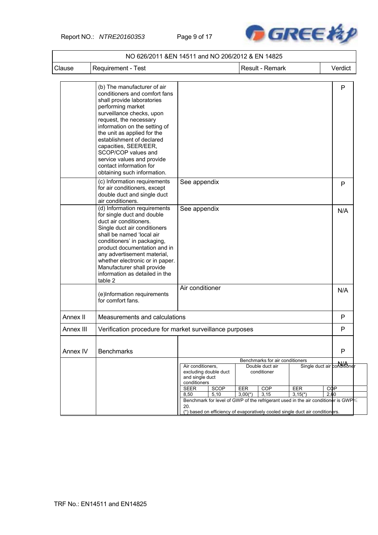Report NO.: *NTRE20160353* Page 9 of 17



| Clause    | Requirement - Test                                                                                                                                                                                                                                                                                                                                                                                          |                                                      |              |                                                                                            | Result - Remark |                  |                      | Verdict                     |
|-----------|-------------------------------------------------------------------------------------------------------------------------------------------------------------------------------------------------------------------------------------------------------------------------------------------------------------------------------------------------------------------------------------------------------------|------------------------------------------------------|--------------|--------------------------------------------------------------------------------------------|-----------------|------------------|----------------------|-----------------------------|
|           |                                                                                                                                                                                                                                                                                                                                                                                                             |                                                      |              |                                                                                            |                 |                  |                      |                             |
|           | (b) The manufacturer of air<br>conditioners and comfort fans<br>shall provide laboratories<br>performing market<br>surveillance checks, upon<br>request, the necessary<br>information on the setting of<br>the unit as applied for the<br>establishment of declared<br>capacities, SEER/EER,<br>SCOP/COP values and<br>service values and provide<br>contact information for<br>obtaining such information. |                                                      |              |                                                                                            |                 |                  |                      | P                           |
|           | (c) Information requirements<br>for air conditioners, except<br>double duct and single duct<br>air conditioners.                                                                                                                                                                                                                                                                                            | See appendix                                         |              |                                                                                            |                 |                  |                      | P                           |
|           | (d) Information requirements<br>for single duct and double<br>duct air conditioners.<br>Single duct air conditioners<br>shall be named 'local air<br>conditioners' in packaging,<br>product documentation and in<br>any advertisement material,<br>whether electronic or in paper.<br>Manufacturer shall provide<br>information as detailed in the<br>table 2                                               | See appendix                                         |              |                                                                                            |                 |                  |                      | N/A                         |
|           | (e)Information requirements<br>for comfort fans.                                                                                                                                                                                                                                                                                                                                                            | Air conditioner                                      |              |                                                                                            |                 |                  |                      | N/A                         |
| Annex II  | Measurements and calculations                                                                                                                                                                                                                                                                                                                                                                               |                                                      |              |                                                                                            |                 |                  |                      | P                           |
| Annex III | Verification procedure for market surveillance purposes                                                                                                                                                                                                                                                                                                                                                     |                                                      |              |                                                                                            |                 |                  |                      | P                           |
| Annex IV  | <b>Benchmarks</b>                                                                                                                                                                                                                                                                                                                                                                                           |                                                      |              |                                                                                            |                 |                  |                      | P                           |
|           |                                                                                                                                                                                                                                                                                                                                                                                                             | Air conditioners,<br>and single duct<br>conditioners |              | Benchmarks for air conditioners<br>Double duct air<br>excluding double duct<br>conditioner |                 |                  |                      | Single duct air conditioner |
|           |                                                                                                                                                                                                                                                                                                                                                                                                             | <b>SEER</b><br>8,50                                  | SCOP<br>5,10 | EER<br>$3,00(*)$                                                                           | COP<br>3,15     | EER<br>$3,15(*)$ | $C$ $\Phi$ P<br>2,60 |                             |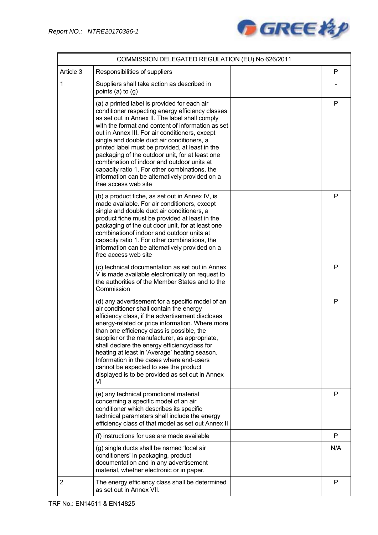

|                | COMMISSION DELEGATED REGULATION (EU) No 626/2011                                                                                                                                                                                                                                                                                                                                                                                                                                                                                                                                       |     |
|----------------|----------------------------------------------------------------------------------------------------------------------------------------------------------------------------------------------------------------------------------------------------------------------------------------------------------------------------------------------------------------------------------------------------------------------------------------------------------------------------------------------------------------------------------------------------------------------------------------|-----|
| Article 3      | Responsibilities of suppliers                                                                                                                                                                                                                                                                                                                                                                                                                                                                                                                                                          | P   |
| 1              | Suppliers shall take action as described in<br>points $(a)$ to $(q)$                                                                                                                                                                                                                                                                                                                                                                                                                                                                                                                   |     |
|                | (a) a printed label is provided for each air<br>conditioner respecting energy efficiency classes<br>as set out in Annex II. The label shall comply<br>with the format and content of information as set<br>out in Annex III. For air conditioners, except<br>single and double duct air conditioners, a<br>printed label must be provided, at least in the<br>packaging of the outdoor unit, for at least one<br>combination of indoor and outdoor units at<br>capacity ratio 1. For other combinations, the<br>information can be alternatively provided on a<br>free access web site | P   |
|                | (b) a product fiche, as set out in Annex IV, is<br>made available. For air conditioners, except<br>single and double duct air conditioners, a<br>product fiche must be provided at least in the<br>packaging of the out door unit, for at least one<br>combination of indoor and outdoor units at<br>capacity ratio 1. For other combinations, the<br>information can be alternatively provided on a<br>free access web site                                                                                                                                                           | P   |
|                | (c) technical documentation as set out in Annex<br>V is made available electronically on request to<br>the authorities of the Member States and to the<br>Commission                                                                                                                                                                                                                                                                                                                                                                                                                   | P   |
|                | (d) any advertisement for a specific model of an<br>air conditioner shall contain the energy<br>efficiency class, if the advertisement discloses<br>energy-related or price information. Where more<br>than one efficiency class is possible, the<br>supplier or the manufacturer, as appropriate,<br>shall declare the energy efficiencyclass for<br>heating at least in 'Average' heating season.<br>Information in the cases where end-users<br>cannot be expected to see the product<br>displayed is to be provided as set out in Annex<br>VI                                      | P   |
|                | (e) any technical promotional material<br>concerning a specific model of an air<br>conditioner which describes its specific<br>technical parameters shall include the energy<br>efficiency class of that model as set out Annex II                                                                                                                                                                                                                                                                                                                                                     | P   |
|                | (f) instructions for use are made available                                                                                                                                                                                                                                                                                                                                                                                                                                                                                                                                            | P   |
|                | (g) single ducts shall be named 'local air<br>conditioners' in packaging, product<br>documentation and in any advertisement<br>material, whether electronic or in paper.                                                                                                                                                                                                                                                                                                                                                                                                               | N/A |
| $\overline{2}$ | The energy efficiency class shall be determined<br>as set out in Annex VII.                                                                                                                                                                                                                                                                                                                                                                                                                                                                                                            | P   |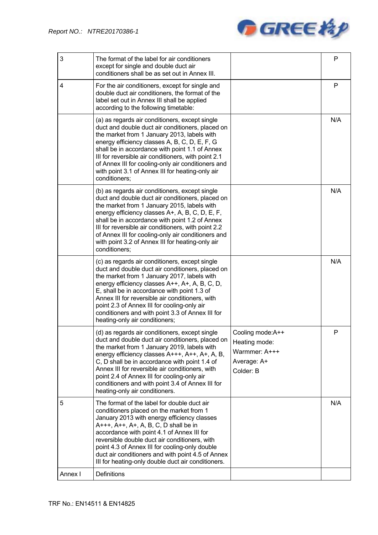

| 3       | The format of the label for air conditioners<br>except for single and double duct air<br>conditioners shall be as set out in Annex III.                                                                                                                                                                                                                                                                                                      |                                                                                | P   |
|---------|----------------------------------------------------------------------------------------------------------------------------------------------------------------------------------------------------------------------------------------------------------------------------------------------------------------------------------------------------------------------------------------------------------------------------------------------|--------------------------------------------------------------------------------|-----|
| 4       | For the air conditioners, except for single and<br>double duct air conditioners, the format of the<br>label set out in Annex III shall be applied<br>according to the following timetable:                                                                                                                                                                                                                                                   |                                                                                | P   |
|         | (a) as regards air conditioners, except single<br>duct and double duct air conditioners, placed on<br>the market from 1 January 2013, labels with<br>energy efficiency classes A, B, C, D, E, F, G<br>shall be in accordance with point 1.1 of Annex<br>III for reversible air conditioners, with point 2.1<br>of Annex III for cooling-only air conditioners and<br>with point 3.1 of Annex III for heating-only air<br>conditioners;       |                                                                                | N/A |
|         | (b) as regards air conditioners, except single<br>duct and double duct air conditioners, placed on<br>the market from 1 January 2015, labels with<br>energy efficiency classes A+, A, B, C, D, E, F,<br>shall be in accordance with point 1.2 of Annex<br>III for reversible air conditioners, with point 2.2<br>of Annex III for cooling-only air conditioners and<br>with point 3.2 of Annex III for heating-only air<br>conditioners;     |                                                                                | N/A |
|         | (c) as regards air conditioners, except single<br>duct and double duct air conditioners, placed on<br>the market from 1 January 2017, labels with<br>energy efficiency classes A++, A+, A, B, C, D,<br>E, shall be in accordance with point 1.3 of<br>Annex III for reversible air conditioners, with<br>point 2.3 of Annex III for cooling-only air<br>conditioners and with point 3.3 of Annex III for<br>heating-only air conditioners;   |                                                                                | N/A |
|         | (d) as regards air conditioners, except single<br>duct and double duct air conditioners, placed on<br>the market from 1 January 2019, labels with<br>energy efficiency classes A+++, A++, A+, A, B,<br>C, D shall be in accordance with point 1.4 of<br>Annex III for reversible air conditioners, with<br>point 2.4 of Annex III for cooling-only air<br>conditioners and with point 3.4 of Annex III for<br>heating-only air conditioners. | Cooling mode:A++<br>Heating mode:<br>Warmmer: A+++<br>Average: A+<br>Colder: B | P   |
| 5       | The format of the label for double duct air<br>conditioners placed on the market from 1<br>January 2013 with energy efficiency classes<br>A+++, A++, A+, A, B, C, D shall be in<br>accordance with point 4.1 of Annex III for<br>reversible double duct air conditioners, with<br>point 4.3 of Annex III for cooling-only double<br>duct air conditioners and with point 4.5 of Annex<br>III for heating-only double duct air conditioners.  |                                                                                | N/A |
| Annex I | Definitions                                                                                                                                                                                                                                                                                                                                                                                                                                  |                                                                                |     |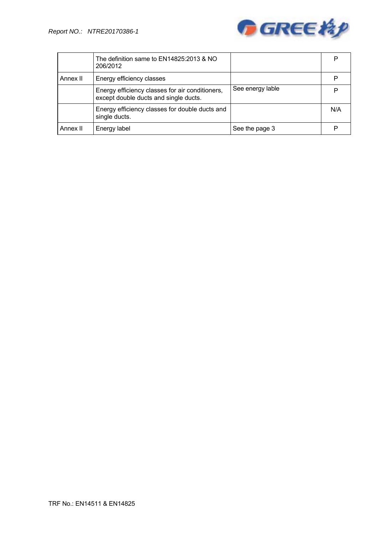

|          | The definition same to EN14825:2013 & NO<br>206/2012                                     |                  | P   |
|----------|------------------------------------------------------------------------------------------|------------------|-----|
| Annex II | Energy efficiency classes                                                                |                  |     |
|          | Energy efficiency classes for air conditioners,<br>except double ducts and single ducts. | See energy lable |     |
|          | Energy efficiency classes for double ducts and<br>single ducts.                          |                  | N/A |
| Annex II | Energy label                                                                             | See the page 3   |     |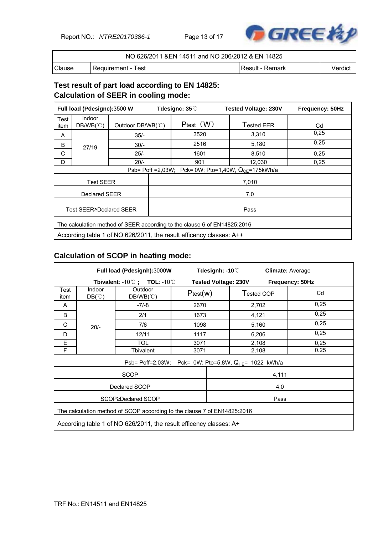Report NO.: *NTRE20170386-1* Page 13 of 17



| NO 626/2011 & EN 14511 and NO 206/2012 & EN 14825 |                      |                  |         |  |  |
|---------------------------------------------------|----------------------|------------------|---------|--|--|
| Clause                                            | l Reauirement - Test | ∣Result - Remark | Verdict |  |  |

## **Test result of part load according to EN 14825: Calculation of SEER in cooling mode:**

| Full load (Pdesignc):3500 W |                                                                          |                   | Tdesignc: $35^\circ\!\text{C}$                            | <b>Tested Voltage: 230V</b> | Frequency: 50Hz |  |  |  |
|-----------------------------|--------------------------------------------------------------------------|-------------------|-----------------------------------------------------------|-----------------------------|-----------------|--|--|--|
| Test<br>item                | <b>Indoor</b><br>$DB/WB(^{\circ}\mathbb{C})$                             | Outdoor DB/WB(°C) | $P_{test}$ $(W)$                                          | Tested EER                  | Cd              |  |  |  |
| Α                           |                                                                          | $35/-$            | 3520                                                      | 3,310                       | 0,25            |  |  |  |
| B                           | 27/19                                                                    | $30/-$            | 2516                                                      | 5,180                       | 0,25            |  |  |  |
| C                           |                                                                          | $25/-$            | 1601                                                      | 8.510                       | 0,25            |  |  |  |
| D                           |                                                                          | $20/-$            | 901                                                       | 12,030                      | 0.25            |  |  |  |
|                             |                                                                          |                   | Psb= Poff = 2,03W; Pck= 0W; Pto=1,40W, $Q_{CF}$ =175kWh/a |                             |                 |  |  |  |
|                             | <b>Test SEER</b>                                                         |                   | 7,010                                                     |                             |                 |  |  |  |
| Declared SEER               |                                                                          |                   | 7,0                                                       |                             |                 |  |  |  |
|                             | Test SEER≥Declared SEER                                                  |                   |                                                           | Pass                        |                 |  |  |  |
|                             | The calculation method of SEER acoording to the clause 6 of EN14825:2016 |                   |                                                           |                             |                 |  |  |  |
|                             | According table 1 of NO 626/2011, the result efficency classes: A++      |                   |                                                           |                             |                 |  |  |  |

### **Calculation of SCOP in heating mode:**

| Full load (Pdesignh):3000W |                                                                          |                                                           |          | Tdesignh: -10 $\degree$ C   |            | <b>Climate: Average</b> |  |
|----------------------------|--------------------------------------------------------------------------|-----------------------------------------------------------|----------|-----------------------------|------------|-------------------------|--|
|                            |                                                                          | Tbivalent: $-10^{\circ}$ C ; TOL: $-10^{\circ}$ C         |          | <b>Tested Voltage: 230V</b> |            | Frequency: 50Hz         |  |
| Test<br>item               | Indoor<br>$DB(^\circ \mathbb{C})$                                        | Outdoor<br>$DB/WB(^{\circ}\mathrm{C})$                    | Ptest(w) |                             | Tested COP | Cd                      |  |
| A                          |                                                                          | $-7/-8$                                                   | 2670     |                             | 2,702      | 0,25                    |  |
| B                          |                                                                          | 2/1                                                       | 1673     |                             | 4,121      | 0,25                    |  |
| С                          | $20/-$                                                                   | 7/6                                                       | 1098     |                             | 5,160      | 0,25                    |  |
| D                          |                                                                          | 12/11                                                     | 1117     |                             | 6,206      | 0,25                    |  |
| E                          |                                                                          | <b>TOL</b>                                                | 3071     |                             | 2,108      | 0,25                    |  |
| F                          |                                                                          | Tbivalent                                                 | 3071     |                             | 2,108      | 0.25                    |  |
|                            |                                                                          | Psb= Poff=2,03W; Pck= 0W; Pto=5,8W, $Q_{HE}$ = 1022 kWh/a |          |                             |            |                         |  |
|                            |                                                                          | <b>SCOP</b>                                               |          |                             | 4,111      |                         |  |
|                            |                                                                          | Declared SCOP                                             |          |                             | 4,0        |                         |  |
|                            | SCOP≥Declared SCOP<br>Pass                                               |                                                           |          |                             |            |                         |  |
|                            | The calculation method of SCOP acoording to the clause 7 of EN14825:2016 |                                                           |          |                             |            |                         |  |
|                            | According table 1 of NO 626/2011, the result efficency classes: A+       |                                                           |          |                             |            |                         |  |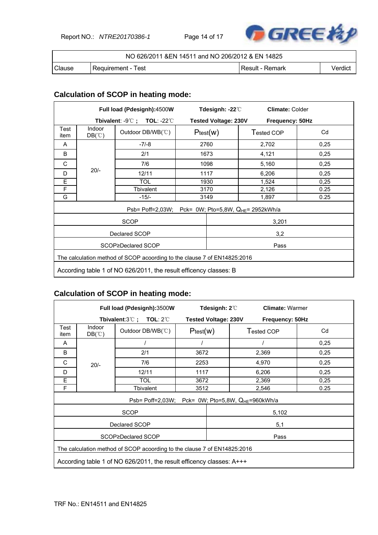Report NO.: *NTRE20170386-1* Page 14 of 17



|        | NO 626/2011 & EN 14511 and NO 206/2012 & EN 14825 |                   |         |  |  |  |
|--------|---------------------------------------------------|-------------------|---------|--|--|--|
| Clause | l Requirement - Test                              | l Result - Remark | Verdict |  |  |  |

## **Calculation of SCOP in heating mode:**

|                            |                                                                          | Full load (Pdesignh):4500W                               |      | Tdesignh: -22 $\degree$ C   | <b>Climate: Colder</b> |      |  |
|----------------------------|--------------------------------------------------------------------------|----------------------------------------------------------|------|-----------------------------|------------------------|------|--|
|                            |                                                                          | Tbivalent: $-9^{\circ}$ C; TOL: $-22^{\circ}$ C          |      | <b>Tested Voltage: 230V</b> | Frequency: 50Hz        |      |  |
| Test<br>item               | Indoor<br>$DB(^\circ\mathbb{C})$                                         | Outdoor DB/WB(°C)                                        |      | Ptest(w)                    | Tested COP             | Cd   |  |
| A                          |                                                                          | $-7/-8$                                                  |      | 2760                        | 2,702                  | 0,25 |  |
| B                          |                                                                          | 2/1                                                      |      | 1673                        | 4,121                  | 0,25 |  |
| C                          |                                                                          | 7/6                                                      |      | 1098                        | 5,160                  | 0,25 |  |
| D                          | $20/-$                                                                   | 12/11                                                    |      | 1117                        | 6,206                  | 0,25 |  |
| Ε                          |                                                                          | <b>TOL</b>                                               | 1930 |                             | 1,524                  | 0,25 |  |
| F                          |                                                                          | Tbivalent                                                | 3170 |                             | 2,126                  | 0.25 |  |
| G                          |                                                                          | $-15/-$                                                  |      | 3149                        | 1,897                  | 0.25 |  |
|                            |                                                                          | Psb= Poff=2,03W; Pck= 0W; Pto=5,8W, $Q_{HE}$ = 2952kWh/a |      |                             |                        |      |  |
|                            |                                                                          | SCOP                                                     |      |                             | 3,201                  |      |  |
|                            |                                                                          | Declared SCOP                                            |      |                             | 3,2                    |      |  |
| SCOP≥Declared SCOP<br>Pass |                                                                          |                                                          |      |                             |                        |      |  |
|                            | The calculation method of SCOP acoording to the clause 7 of EN14825:2016 |                                                          |      |                             |                        |      |  |
|                            | According table 1 of NO 626/2011, the result efficency classes: B        |                                                          |      |                             |                        |      |  |

### **Calculation of SCOP in heating mode:**

|              |                                                                          | Full load (Pdesignh):3500W                                |          | Tdesignh: 2 $\degree$       | <b>Climate: Warmer</b>                                 |      |  |
|--------------|--------------------------------------------------------------------------|-----------------------------------------------------------|----------|-----------------------------|--------------------------------------------------------|------|--|
|              |                                                                          | Tbivalent: $3^{\circ}\text{C}$ ; TOL: $2^{\circ}\text{C}$ |          | <b>Tested Voltage: 230V</b> | Frequency: 50Hz                                        |      |  |
| Test<br>item | Indoor<br>$DB(^\circ\mathbb{C})$                                         | Outdoor DB/WB(°C)                                         | Ptest(w) |                             | Tested COP                                             | Cd   |  |
| A            |                                                                          |                                                           |          |                             |                                                        | 0.25 |  |
| B            |                                                                          | 2/1                                                       | 3672     |                             | 2,369                                                  | 0,25 |  |
| C            | $20/-$                                                                   | 7/6                                                       | 2253     |                             | 4,970                                                  | 0,25 |  |
| D            |                                                                          | 12/11                                                     | 1117     |                             | 6,206                                                  | 0,25 |  |
| E            |                                                                          | TOL                                                       | 3672     |                             | 2,369                                                  | 0,25 |  |
| F            |                                                                          | Tbivalent                                                 | 3512     |                             | 2,546                                                  | 0.25 |  |
|              |                                                                          |                                                           |          |                             | Psb= Poff=2,03W; Pck= 0W; Pto=5,8W, $Q_{HE}$ =960kWh/a |      |  |
|              |                                                                          | <b>SCOP</b>                                               |          |                             | 5,102                                                  |      |  |
|              |                                                                          | Declared SCOP                                             |          |                             | 5,1                                                    |      |  |
|              | SCOP≥Declared SCOP<br>Pass                                               |                                                           |          |                             |                                                        |      |  |
|              | The calculation method of SCOP acoording to the clause 7 of EN14825:2016 |                                                           |          |                             |                                                        |      |  |
|              | According table 1 of NO 626/2011, the result efficency classes: A+++     |                                                           |          |                             |                                                        |      |  |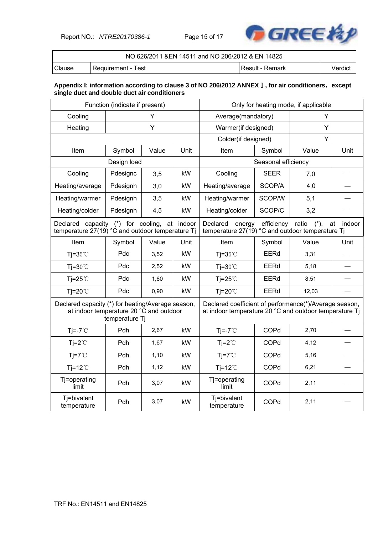Report NO.: *NTRE20170386-1* Page 15 of 17



|        | NO 626/2011 & EN 14511 and NO 206/2012 & EN 14825 |                 |         |  |  |  |
|--------|---------------------------------------------------|-----------------|---------|--|--|--|
| Clause | l Reauirement - Test                              | Result - Remark | Verdict |  |  |  |

#### **Appendix I: information according to clause 3 of NO 206/2012 ANNEX**Ⅰ**, for air conditioners**,**except single duct and double duct air conditioners**

| Function (indicate if present)                                                                   |                |       |                                                                        | Only for heating mode, if applicable                                                                             |                     |              |      |
|--------------------------------------------------------------------------------------------------|----------------|-------|------------------------------------------------------------------------|------------------------------------------------------------------------------------------------------------------|---------------------|--------------|------|
| Cooling                                                                                          | Υ              |       |                                                                        | Average(mandatory)                                                                                               |                     | Υ            |      |
| Heating                                                                                          |                | Y     |                                                                        | Warmer(if designed)                                                                                              |                     | Υ            |      |
|                                                                                                  |                |       |                                                                        | Colder(if designed)                                                                                              |                     | Y            |      |
| Item                                                                                             | Symbol         | Value | Unit                                                                   | Item                                                                                                             | Symbol              | Value        | Unit |
|                                                                                                  | Design load    |       |                                                                        |                                                                                                                  | Seasonal efficiency |              |      |
| Cooling                                                                                          | Pdesignc       | 3,5   | kW                                                                     | Cooling                                                                                                          | <b>SEER</b>         | 7,0          |      |
| Heating/average                                                                                  | Pdesignh       | 3,0   | kW                                                                     | Heating/average                                                                                                  | SCOP/A              | 4,0          |      |
| Heating/warmer                                                                                   | Pdesignh       | 3,5   | kW                                                                     | Heating/warmer                                                                                                   | SCOP/W              | 5,1          |      |
| Heating/colder                                                                                   | Pdesignh       | 4,5   | kW                                                                     | Heating/colder                                                                                                   | SCOP/C              | 3,2          |      |
| Declared capacity (*) for cooling, at indoor<br>temperature 27(19) °C and outdoor temperature Tj |                |       | Declared<br>energy<br>temperature 27(19) °C and outdoor temperature Tj | efficiency                                                                                                       | ratio<br>$(*),$     | indoor<br>at |      |
| Item                                                                                             | Symbol         | Value | Unit                                                                   | Item                                                                                                             | Symbol              | Value        | Unit |
| Tj= $35^{\circ}$ C                                                                               | Pdc            | 3,52  | kW                                                                     | Tj= $35^{\circ}$ C                                                                                               | EERd                | 3,31         |      |
| $Ti=30^{\circ}C$                                                                                 | Pdc            | 2,52  | kW                                                                     | $Ti=30^{\circ}C$                                                                                                 | <b>EERd</b>         | 5,18         |      |
| Tj=25 $°C$                                                                                       | Pdc            | 1,60  | kW                                                                     | $Ti=25^{\circ}$                                                                                                  | <b>EERd</b>         | 8,51         |      |
| $Ti=20^{\circ}$                                                                                  | Pdc            | 0,90  | kW                                                                     | $Ti=20^{\circ}$                                                                                                  | EERd                | 12,03        |      |
| Declared capacity (*) for heating/Average season,<br>at indoor temperature 20 °C and outdoor     | temperature Tj |       |                                                                        | Declared coefficient of performance(*)/Average season,<br>at indoor temperature 20 °C and outdoor temperature Ti |                     |              |      |
| $Ti=-7^{\circ}C$                                                                                 | Pdh            | 2,67  | kW                                                                     | $Ti=-7^{\circ}C$                                                                                                 | COPd                | 2,70         |      |
| $Ti=2^{\circ}C$                                                                                  | Pdh            | 1,67  | kW                                                                     | $Tj = 2^{\circ}C$                                                                                                | COPd                | 4,12         |      |
| $Ti=7^{\circ}C$                                                                                  | Pdh            | 1,10  | kW                                                                     | $Ti=7^{\circ}C$                                                                                                  | COPd                | 5,16         |      |
| $Ti=12^{\circ}$                                                                                  | Pdh            | 1,12  | kW                                                                     | $Ti=12^{\circ}$                                                                                                  | COPd                | 6,21         |      |
| Tj=operating<br>limit                                                                            | Pdh            | 3,07  | kW                                                                     | Tj=operating<br>limit                                                                                            | COPd                | 2,11         |      |
| Tj=bivalent<br>temperature                                                                       | Pdh            | 3,07  | kW                                                                     | Tj=bivalent<br>temperature                                                                                       | COPd                | 2,11         |      |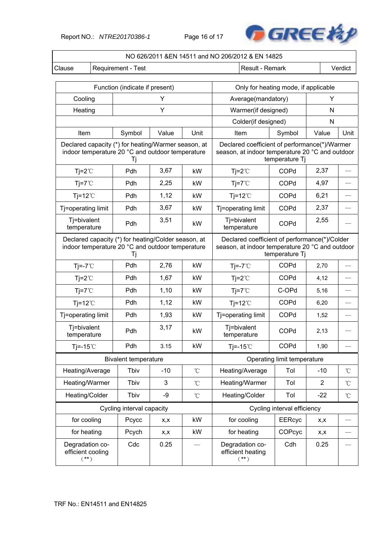Report NO.: *NTRE20170386-1* Page 16 of 17



| NO 626/2011 &EN 14511 and NO 206/2012 & EN 14825                                                              |                                                  |                                                                                                                    |                   |                                                                                                  |                             |                |                     |  |
|---------------------------------------------------------------------------------------------------------------|--------------------------------------------------|--------------------------------------------------------------------------------------------------------------------|-------------------|--------------------------------------------------------------------------------------------------|-----------------------------|----------------|---------------------|--|
| Clause                                                                                                        | Requirement - Test<br>Verdict<br>Result - Remark |                                                                                                                    |                   |                                                                                                  |                             |                |                     |  |
|                                                                                                               |                                                  |                                                                                                                    |                   |                                                                                                  |                             |                |                     |  |
|                                                                                                               | Function (indicate if present)                   | Y                                                                                                                  |                   | Only for heating mode, if applicable                                                             |                             | Υ              |                     |  |
| Cooling                                                                                                       |                                                  | Y                                                                                                                  |                   | Average(mandatory)                                                                               |                             | N              |                     |  |
| Heating                                                                                                       |                                                  |                                                                                                                    |                   | Warmer(if designed)<br>Colder(if designed)                                                       |                             | N              |                     |  |
| Item                                                                                                          | Symbol                                           | Value                                                                                                              | Unit              | Item                                                                                             | Symbol                      | Value          | Unit                |  |
| Declared capacity (*) for heating/Warmer season, at<br>indoor temperature 20 °C and outdoor temperature       | Tj                                               |                                                                                                                    |                   | Declared coefficient of performance(*)/Warmer<br>season, at indoor temperature 20 °C and outdoor | temperature Tj              |                |                     |  |
| $Tj = 2^{\circ}C$                                                                                             | Pdh                                              | 3,67                                                                                                               | kW                | $Tj=2^{\circ}C$                                                                                  | COPd                        | 2,37           |                     |  |
| $Tj = 7^{\circ}C$                                                                                             | Pdh                                              | 2,25                                                                                                               | kW                | $Tj = 7^{\circ}C$                                                                                | COPd                        | 4,97           |                     |  |
| $Ti=12^{\circ}C$                                                                                              | Pdh                                              | 1,12                                                                                                               | kW                | $Ti=12^{\circ}C$                                                                                 | COPd                        | 6,21           |                     |  |
| Tj=operating limit                                                                                            | Pdh                                              | 3,67                                                                                                               | kW                | Tj=operating limit                                                                               | COPd                        | 2,37           |                     |  |
| Tj=bivalent<br>temperature                                                                                    | Pdh                                              | 3,51                                                                                                               | kW                | Tj=bivalent<br>temperature                                                                       | COPd                        | 2,55           |                     |  |
| Declared capacity (*) for heating/Colder season, at<br>indoor temperature 20 °C and outdoor temperature<br>Tj |                                                  | Declared coefficient of performance(*)/Colder<br>season, at indoor temperature 20 °C and outdoor<br>temperature Tj |                   |                                                                                                  |                             |                |                     |  |
| $Tj=-7^{\circ}C$                                                                                              | Pdh                                              | 2,76                                                                                                               | kW                | $Tj = -7^{\circ}C$                                                                               | COPd                        | 2,70           |                     |  |
| $Tj = 2^{\circ}C$                                                                                             | Pdh                                              | 1,67                                                                                                               | kW                | $Tj=2^{\circ}C$                                                                                  | COPd                        | 4,12           |                     |  |
| $Tj = 7^{\circ}C$                                                                                             | Pdh                                              | 1,10                                                                                                               | kW                | $Tj=7^{\circ}C$                                                                                  | C-OPd                       | 5,16           |                     |  |
| $Ti=12^{\circ}C$                                                                                              | Pdh                                              | 1,12                                                                                                               | kW                | Tj=12 $°C$                                                                                       | COPd                        | 6,20           |                     |  |
| Tj=operating limit                                                                                            | Pdh                                              | 1,93                                                                                                               | kW                | Tj=operating limit                                                                               | COPd                        | 1,52           |                     |  |
| Tj=bivalent<br>temperature                                                                                    | Pdh                                              | 3,17                                                                                                               | kW                | Tj=bivalent<br>temperature                                                                       | COPd                        | 2,13           |                     |  |
| Tj=-15 $°C$                                                                                                   | Pdh                                              | 3.15                                                                                                               | kW                | $Ti=-15^{\circ}$                                                                                 | COPd                        | 1,90           |                     |  |
|                                                                                                               | <b>Bivalent temperature</b>                      |                                                                                                                    |                   |                                                                                                  | Operating limit temperature |                |                     |  |
| Heating/Average                                                                                               | Tbiv                                             | $-10$                                                                                                              | $^\circ\!{\rm C}$ | Heating/Average                                                                                  | Tol                         | $-10$          | $^{\circ}$ C        |  |
| Heating/Warmer                                                                                                | Tbiv                                             | 3                                                                                                                  | $\rm ^{\circ}C$   | Heating/Warmer                                                                                   | Tol                         | $\overline{2}$ | $\rm ^{\circ}C$     |  |
| Heating/Colder                                                                                                | Tbiv                                             | -9                                                                                                                 | $^\circ\!{\rm C}$ | Heating/Colder                                                                                   | Tol                         | $-22$          | $^{\circ}\!{\rm C}$ |  |
|                                                                                                               | Cycling interval capacity                        |                                                                                                                    |                   |                                                                                                  | Cycling interval efficiency |                |                     |  |
| for cooling                                                                                                   | Pcycc                                            | x,x                                                                                                                | kW                | for cooling                                                                                      | <b>EERcyc</b>               | x,x            |                     |  |
| for heating                                                                                                   | Pcych                                            | X,X                                                                                                                | kW                | for heating                                                                                      | COPcyc                      | x,x            |                     |  |
| Degradation co-<br>efficient cooling<br>$(**)$                                                                | Cdc                                              | 0.25                                                                                                               |                   | Degradation co-<br>efficient heating<br>$(**)$                                                   | Cdh                         | 0.25           |                     |  |